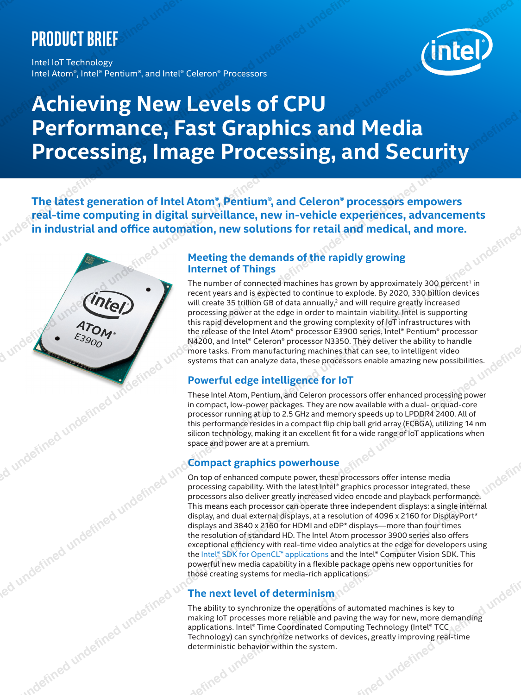# **Product brief**

Intel IoT Technology Intel Atom®, Intel® Pentium®, and Intel® Celeron® Processors

# **Achieving New Levels of CPU Performance, Fast Graphics and Media Processing, Image Processing, and Security** PRODUCT BRIEF<br>
Achieving New Levels of CPU<br>
Performance, Fast Graphics and Media<br>
Processing, Image Processing, and Security<br>
This kiel the computing in digital surveillance, new inventor procession emporarisments<br>
and thr

**The latest generation of Intel Atom®, Pentium®, and Celeron® processors empowers real-time computing in digital surveillance, new in-vehicle experiences, advancements**  in industrial and office automation, new solutions for retail and medical, and more.

# **Meeting the demands of the rapidly growing Internet of Things**

The number of connected machines has grown by approximately 300 percent<sup>1</sup> in recent years and is expected to continue to explode. By 2020, 330 billion devices will create 35 trillion GB of data annually,<sup>2</sup> and will require greatly increased processing power at the edge in order to maintain viability. Intel is supporting this rapid development and the growing complexity of IoT infrastructures with the release of the Intel Atom® processor E3900 series, Intel® Pentium® processor N4200, and Intel® Celeron® processor N3350. They deliver the ability to handle more tasks. From manufacturing machines that can see, to intelligent video systems that can analyze data, these processors enable amazing new possibilities.

# **Powerful edge intelligence for IoT**

These Intel Atom, Pentium, and Celeron processors ofer enhanced processing power in compact, low-power packages. They are now available with a dual- or quad-core processor running at up to 2.5 GHz and memory speeds up to LPDDR4 2400. All of this performance resides in a compact fip chip ball grid array (FCBGA), utilizing 14 nm silicon technology, making it an excellent fit for a wide range of IoT applications when space and power are at a premium.

# **Compact graphics powerhouse**

On top of enhanced compute power, these processors offer intense media processing capability. With the latest Intel® graphics processor integrated, these processors also deliver greatly increased video encode and playback performance. This means each processor can operate three independent displays: a single internal display, and dual external displays, at a resolution of 4096 x 2160 for DisplayPort\* displays and 3840 x 2160 for HDMI and eDP\* displays—more than four times the resolution of standard HD. The Intel Atom processor 3900 series also offers exceptional efficiency with real-time video analytics at the edge for developers using the Intel® SDK for OpenCL™ applications and the Intel® Computer Vision SDK. This powerful new media capability in a flexible package opens new opportunities for those creating systems for media-rich applications.

# **The next level of determinism**

The ability to synchronize the operations of automated machines is key to making IoT processes more reliable and paving the way for new, more demanding applications. Intel® Time Coordinated Computing Technology (Intel® TCC Technology) can synchronize networks of devices, greatly improving real-time deterministic behavior within the system.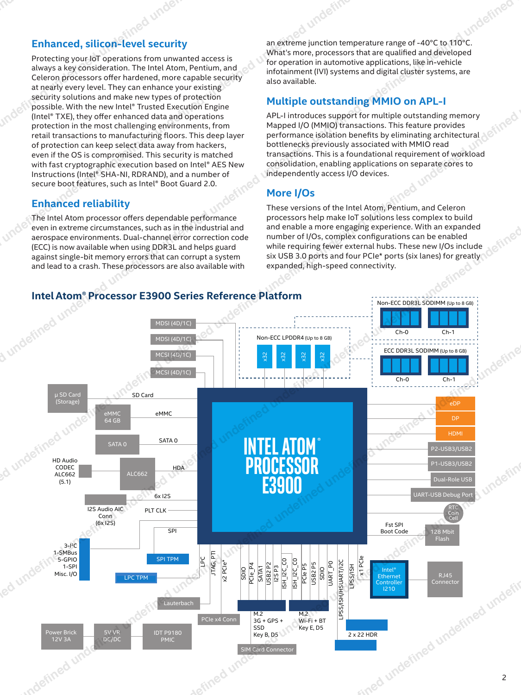# **Enhanced, silicon-level security**

Protecting your IoT operations from unwanted access is always a key consideration. The Intel Atom, Pentium, and Celeron processors offer hardened, more capable security at nearly every level. They can enhance your existing security solutions and make new types of protection possible. With the new Intel® Trusted Execution Engine (Intel® TXE), they offer enhanced data and operations protection in the most challenging environments, from retail transactions to manufacturing floors. This deep layer of protection can keep select data away from hackers, even if the OS is compromised. This security is matched with fast cryptographic execution based on Intel® AES New Instructions (Intel® SHA-NI, RDRAND), and a number of secure boot features, such as Intel® Boot Guard 2.0.

# **Enhanced reliability**

The Intel Atom processor offers dependable performance even in extreme circumstances, such as in the industrial and aerospace environments. Dual-channel error correction code (ECC) is now available when using DDR3L and helps guard against single-bit memory errors that can corrupt a system and lead to a crash. These processors are also available with

an extreme junction temperature range of -40°C to 110°C. What's more, processors that are qualifed and developed for operation in automotive applications, like in-vehicle infotainment (IVI) systems and digital cluster systems, are also available.

# **Multiple outstanding MMIO on APL-I**

APL-I introduces support for multiple outstanding memory Mapped I/O (MMIO) transactions. This feature provides performance isolation benefts by eliminating architectural bottlenecks previously associated with MMIO read transactions. This is a foundational requirement of workload consolidation, enabling applications on separate cores to independently access I/O devices.

# **More I/Os**

These versions of the Intel Atom, Pentium, and Celeron processors help make IoT solutions less complex to build and enable a more engaging experience. With an expanded number of I/Os, complex confgurations can be enabled while requiring fewer external hubs. These new I/Os include six USB 3.0 ports and four PCIe\* ports (six lanes) for greatly expanded, high-speed connectivity.



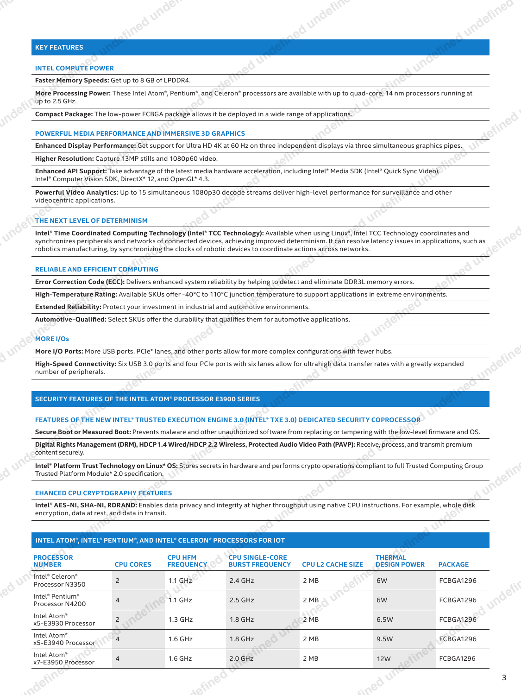### **KEY FEATURES**

### **INTEL COMPUTE POWER**

### **POWERFUL MEDIA PERFORMANCE AND IMMERSIVE 3D GRAPHICS**

### **THE NEXT LEVEL OF DETERMINISM**

### **RELIABLE AND EFFICIENT COMPUTING**

### **MORE I/Os**

### **SECURITY FEATURES OF THE INTEL ATOM® PROCESSOR E3900 SERIES**

### **EHANCED CPU CRYPTOGRAPHY FEATURES**

### **INTEL ATOM®, INTEL® PENTIUM®, AND INTEL® CELERON® PROCESSORS FOR IOT**

| <b>KEY FEATURES</b><br><b>INTEL COMPUTE POWER</b><br>Faster Memory Speeds: Get up to 8 GB of LPDDR4.<br>More Processing Power: These Intel Atom®, Pentium®, and Celeron® processors are available with up to quad-core, 14 nm processors running at<br>up to 2.5 GHz.<br><b>Compact Package:</b> The low-power FCBGA package allows it be deployed in a wide range of applications.<br>POWERFUL MEDIA PERFORMANCE AND IMMERSIVE 3D GRAPHICS<br>Enhanced Display Performance: Get support for Ultra HD 4K at 60 Hz on three independent displays via three simultaneous graphics pipes.<br>Higher Resolution: Capture 13MP stills and 1080p60 video.<br>Enhanced API Support: Take advantage of the latest media hardware acceleration, including Intel® Media SDK (Intel® Quick Sync Video),<br>Intel® Computer Vision SDK, DirectX* 12, and OpenGL* 4.3.<br>Powerful Video Analytics: Up to 15 simultaneous 1080p30 decode streams deliver high-level performance for surveillance and other<br>videocentric applications.<br>$  -$<br>THE NEXT LEVEL OF DETERMINISM<br>Intel® Time Coordinated Computing Technology (Intel® TCC Technology): Available when using Linux*, Intel TCC Technology coordinates and<br>synchronizes peripherals and networks of connected devices, achieving improved determinism. It can resolve latency issues in applications, such as<br>robotics manufacturing, by synchronizing the clocks of robotic devices to coordinate actions across networks.<br>$\frac{1}{2} \left( \frac{1}{2} \right) \left( \frac{1}{2} \right) \left( \frac{1}{2} \right) \left( \frac{1}{2} \right) \left( \frac{1}{2} \right) \left( \frac{1}{2} \right) \left( \frac{1}{2} \right) \left( \frac{1}{2} \right) \left( \frac{1}{2} \right) \left( \frac{1}{2} \right) \left( \frac{1}{2} \right) \left( \frac{1}{2} \right) \left( \frac{1}{2} \right) \left( \frac{1}{2} \right) \left( \frac{1}{2} \right) \left( \frac{1}{2} \right) \left( \frac$<br><b>RELIABLE AND EFFICIENT COMPUTING</b><br>Error Correction Code (ECC): Delivers enhanced system reliability by helping to detect and eliminate DDR3L memory errors.<br>High-Temperature Rating: Available SKUs offer -40°C to 110°C junction temperature to support applications in extreme environments.<br>Extended Reliability: Protect your investment in industrial and automotive environments.<br>Automotive-Qualified: Select SKUs offer the durability that qualifies them for automotive applications.<br><b>MORE I/Os</b><br>More I/O Ports: More USB ports, PCIe* lanes, and other ports allow for more complex configurations with fewer hubs.<br><b>High-Speed Connectivity:</b> Six USB 3.0 ports and four PCIe ports with six lanes allow for ultrahigh data transfer rates with a greatly expanded<br>number of peripherals.<br><b>Service Control</b><br>SECURITY FEATURES OF THE INTEL ATOM® PROCESSOR E3900 SERIES<br>$\sim$<br>FEATURES OF THE NEW INTEL® TRUSTED EXECUTION ENGINE 3.0 (INTEL® TXE 3.0) DEDICATED SECURITY COPROCESSOR<br>Secure Boot or Measured Boot: Prevents malware and other unauthorized software from replacing or tampering with the low-level firmware and OS.<br>Digital Rights Management (DRM), HDCP 1.4 Wired/HDCP 2.2 Wireless, Protected Audio Video Path (PAVP): Receive, process, and transmit premium<br>content securely.<br>Intel® Platform Trust Technology on Linux* OS: Stores secrets in hardware and performs crypto operations compliant to full Trusted Computing Group<br>Trusted Platform Module* 2.0 specification.<br><b>EHANCED CPU CRYPTOGRAPHY FEATURES</b><br>Intel® AES-NI, SHA-NI, RDRAND: Enables data privacy and integrity at higher throughput using native CPU instructions. For example, whole disk<br>encryption, data at rest, and data in transit.<br>$ \rightarrow$<br>____<br>a anggot s<br>INTEL ATOM®, INTEL® PENTIUM®, AND INTEL® CELERON® PROCESSORS FOR IOT<br><b>PROCESSOR</b><br><b>CPU HFM</b><br><b>EXECUTE SOME CONTROVER SERVIPT SOME SERVIPT SOME SERVIPT SOME SERVIPT SOME SERVIPT SOME SERVIPT SOME SERVIPT S</b><br>THERMAL SOME SERVIPT SERVIPT SERVIPT SERVIPT SERVIPT SERVIPT SERVIPT SERVIPT SERVIPT SERVIPT SERVIPT SERVIPT<br><b>NUMBER</b><br><b>CPU CORES</b><br><b>FREQUENCY</b><br>____<br>Intel <sup>®</sup> Celeron <sup>®</sup><br>$1.1$ GHz<br>2.4 GHz<br>FCBGA1296<br>2 MB<br>6W<br>Processor N3350<br>Intel® Pentium®<br>Processor N4200<br>$2.5\,\mathrm{GHz}$<br>FCBGA1296<br>$\odot$ 1.1 GHz<br>2 MB<br>6W<br><u> The Communication of the Communication</u><br>Intel Atom®<br>x5-E3930 Processor<br>$1.8$ GHz<br>FCBGA1296<br>1.3 GHz<br>2MB<br>6.5W<br>$\frac{1}{2}$<br>Intel Atom®<br>x5-E3940 Processor<br>$1.8$ GHz<br>FCBGA1296<br>1.6 GHz<br>2 MB<br>9.5W<br>Intel Atom®<br>x7-E3950 Processor<br><b>12W</b><br>$2.0$ GHz<br>$1.6$ GHz<br>FCBGA1296<br>2 MB<br>$\overline{\phantom{a}}$ |  |  |
|--------------------------------------------------------------------------------------------------------------------------------------------------------------------------------------------------------------------------------------------------------------------------------------------------------------------------------------------------------------------------------------------------------------------------------------------------------------------------------------------------------------------------------------------------------------------------------------------------------------------------------------------------------------------------------------------------------------------------------------------------------------------------------------------------------------------------------------------------------------------------------------------------------------------------------------------------------------------------------------------------------------------------------------------------------------------------------------------------------------------------------------------------------------------------------------------------------------------------------------------------------------------------------------------------------------------------------------------------------------------------------------------------------------------------------------------------------------------------------------------------------------------------------------------------------------------------------------------------------------------------------------------------------------------------------------------------------------------------------------------------------------------------------------------------------------------------------------------------------------------------------------------------------------------------------------------------------------------------------------------------------------------------------------------------------------------------------------------------------------------------------------------------------------------------------------------------------------------------------------------------------------------------------------------------------------------------------------------------------------------------------------------------------------------------------------------------------------------------------------------------------------------------------------------------------------------------------------------------------------------------------------------------------------------------------------------------------------------------------------------------------------------------------------------------------------------------------------------------------------------------------------------------------------------------------------------------------------------------------------------------------------------------------------------------------------------------------------------------------------------------------------------------------------------------------------------------------------------------------------------------------------------------------------------------------------------------------------------------------------------------------------------------------------------------------------------------------------------------------------------------------------------------------------------------------------------------------------------------------------------------------------------------------------------------------------------------------------------------------------------------------------------------------------------------------------------------------------------------------------------------------------------------------------------------------------------------------------------------------------------------------------------------------------------------------------------------------------------------------------------------------------------------------------------------------------------------------------------------------------------------------------------------------------------------------------------------------------------------------------------------------------------------------------------------------------------------------------------------------------------------------------------------------------------------------------------------------------------------------------------------------------------------------------------------------------------------------------------------------------------------------------------------------------------------------------------------------------------------------------------------------------------------|--|--|
|                                                                                                                                                                                                                                                                                                                                                                                                                                                                                                                                                                                                                                                                                                                                                                                                                                                                                                                                                                                                                                                                                                                                                                                                                                                                                                                                                                                                                                                                                                                                                                                                                                                                                                                                                                                                                                                                                                                                                                                                                                                                                                                                                                                                                                                                                                                                                                                                                                                                                                                                                                                                                                                                                                                                                                                                                                                                                                                                                                                                                                                                                                                                                                                                                                                                                                                                                                                                                                                                                                                                                                                                                                                                                                                                                                                                                                                                                                                                                                                                                                                                                                                                                                                                                                                                                                                                                                                                                                                                                                                                                                                                                                                                                                                                                                                                                                                                                                  |  |  |
|                                                                                                                                                                                                                                                                                                                                                                                                                                                                                                                                                                                                                                                                                                                                                                                                                                                                                                                                                                                                                                                                                                                                                                                                                                                                                                                                                                                                                                                                                                                                                                                                                                                                                                                                                                                                                                                                                                                                                                                                                                                                                                                                                                                                                                                                                                                                                                                                                                                                                                                                                                                                                                                                                                                                                                                                                                                                                                                                                                                                                                                                                                                                                                                                                                                                                                                                                                                                                                                                                                                                                                                                                                                                                                                                                                                                                                                                                                                                                                                                                                                                                                                                                                                                                                                                                                                                                                                                                                                                                                                                                                                                                                                                                                                                                                                                                                                                                                  |  |  |
|                                                                                                                                                                                                                                                                                                                                                                                                                                                                                                                                                                                                                                                                                                                                                                                                                                                                                                                                                                                                                                                                                                                                                                                                                                                                                                                                                                                                                                                                                                                                                                                                                                                                                                                                                                                                                                                                                                                                                                                                                                                                                                                                                                                                                                                                                                                                                                                                                                                                                                                                                                                                                                                                                                                                                                                                                                                                                                                                                                                                                                                                                                                                                                                                                                                                                                                                                                                                                                                                                                                                                                                                                                                                                                                                                                                                                                                                                                                                                                                                                                                                                                                                                                                                                                                                                                                                                                                                                                                                                                                                                                                                                                                                                                                                                                                                                                                                                                  |  |  |
|                                                                                                                                                                                                                                                                                                                                                                                                                                                                                                                                                                                                                                                                                                                                                                                                                                                                                                                                                                                                                                                                                                                                                                                                                                                                                                                                                                                                                                                                                                                                                                                                                                                                                                                                                                                                                                                                                                                                                                                                                                                                                                                                                                                                                                                                                                                                                                                                                                                                                                                                                                                                                                                                                                                                                                                                                                                                                                                                                                                                                                                                                                                                                                                                                                                                                                                                                                                                                                                                                                                                                                                                                                                                                                                                                                                                                                                                                                                                                                                                                                                                                                                                                                                                                                                                                                                                                                                                                                                                                                                                                                                                                                                                                                                                                                                                                                                                                                  |  |  |
|                                                                                                                                                                                                                                                                                                                                                                                                                                                                                                                                                                                                                                                                                                                                                                                                                                                                                                                                                                                                                                                                                                                                                                                                                                                                                                                                                                                                                                                                                                                                                                                                                                                                                                                                                                                                                                                                                                                                                                                                                                                                                                                                                                                                                                                                                                                                                                                                                                                                                                                                                                                                                                                                                                                                                                                                                                                                                                                                                                                                                                                                                                                                                                                                                                                                                                                                                                                                                                                                                                                                                                                                                                                                                                                                                                                                                                                                                                                                                                                                                                                                                                                                                                                                                                                                                                                                                                                                                                                                                                                                                                                                                                                                                                                                                                                                                                                                                                  |  |  |
|                                                                                                                                                                                                                                                                                                                                                                                                                                                                                                                                                                                                                                                                                                                                                                                                                                                                                                                                                                                                                                                                                                                                                                                                                                                                                                                                                                                                                                                                                                                                                                                                                                                                                                                                                                                                                                                                                                                                                                                                                                                                                                                                                                                                                                                                                                                                                                                                                                                                                                                                                                                                                                                                                                                                                                                                                                                                                                                                                                                                                                                                                                                                                                                                                                                                                                                                                                                                                                                                                                                                                                                                                                                                                                                                                                                                                                                                                                                                                                                                                                                                                                                                                                                                                                                                                                                                                                                                                                                                                                                                                                                                                                                                                                                                                                                                                                                                                                  |  |  |
|                                                                                                                                                                                                                                                                                                                                                                                                                                                                                                                                                                                                                                                                                                                                                                                                                                                                                                                                                                                                                                                                                                                                                                                                                                                                                                                                                                                                                                                                                                                                                                                                                                                                                                                                                                                                                                                                                                                                                                                                                                                                                                                                                                                                                                                                                                                                                                                                                                                                                                                                                                                                                                                                                                                                                                                                                                                                                                                                                                                                                                                                                                                                                                                                                                                                                                                                                                                                                                                                                                                                                                                                                                                                                                                                                                                                                                                                                                                                                                                                                                                                                                                                                                                                                                                                                                                                                                                                                                                                                                                                                                                                                                                                                                                                                                                                                                                                                                  |  |  |
|                                                                                                                                                                                                                                                                                                                                                                                                                                                                                                                                                                                                                                                                                                                                                                                                                                                                                                                                                                                                                                                                                                                                                                                                                                                                                                                                                                                                                                                                                                                                                                                                                                                                                                                                                                                                                                                                                                                                                                                                                                                                                                                                                                                                                                                                                                                                                                                                                                                                                                                                                                                                                                                                                                                                                                                                                                                                                                                                                                                                                                                                                                                                                                                                                                                                                                                                                                                                                                                                                                                                                                                                                                                                                                                                                                                                                                                                                                                                                                                                                                                                                                                                                                                                                                                                                                                                                                                                                                                                                                                                                                                                                                                                                                                                                                                                                                                                                                  |  |  |